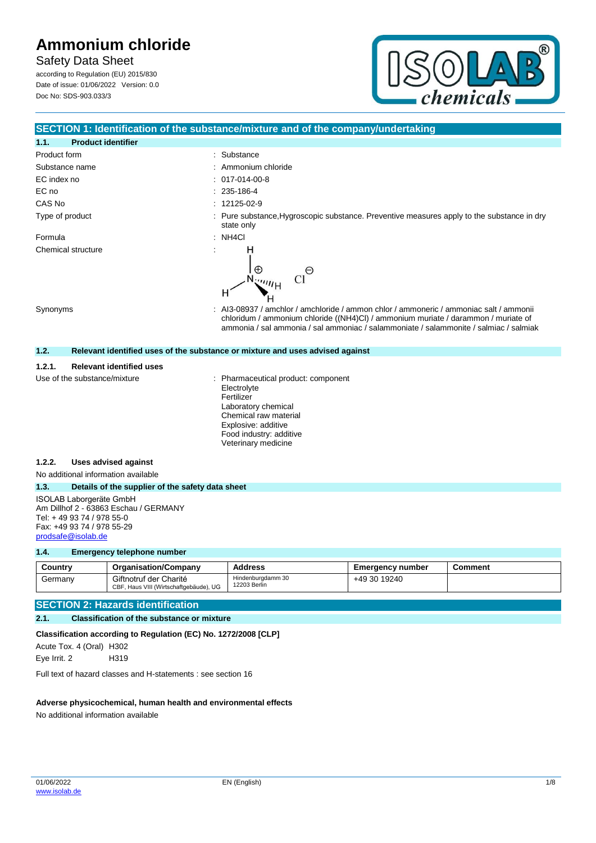# **Safety Data Sheet**

according to Regulation (EU) 2015/830 Date of issue: 01/06/2022 Version: 0.0 Doc No: SDS-903.033/3



# **SECTION 1: Identification of the substance/mixture and of the company/undertaking**

| 1.1.                         | <b>Product identifier</b>       |                                                                                                                                                                             |
|------------------------------|---------------------------------|-----------------------------------------------------------------------------------------------------------------------------------------------------------------------------|
| Product form                 |                                 | : Substance                                                                                                                                                                 |
| Substance name               |                                 | : Ammonium chloride                                                                                                                                                         |
| EC index no                  |                                 | $: 017-014-00-8$                                                                                                                                                            |
| EC no                        |                                 | $: 235 - 186 - 4$                                                                                                                                                           |
| CAS No                       |                                 | $: 12125-02-9$                                                                                                                                                              |
| Type of product              |                                 | : Pure substance, Hygroscopic substance. Preventive measures apply to the substance in dry<br>state only                                                                    |
| Formula                      |                                 | : NH4Cl                                                                                                                                                                     |
| Synonyms                     | Chemical structure              | н<br>$\bigoplus$<br>Θ<br><sup>emij</sup> H<br>н<br>: Al3-08937 / amchlor / amchloride / ammon chlor / ammoneric / ammoniac salt / ammonii                                   |
|                              |                                 | chloridum / ammonium chloride ((NH4)Cl) / ammonium muriate / darammon / muriate of<br>ammonia / sal ammonia / sal ammoniac / salammoniate / salammonite / salmiac / salmiak |
| 1.2.                         |                                 | Relevant identified uses of the substance or mixture and uses advised against                                                                                               |
| 1.2.1.                       | <b>Relevant identified uses</b> |                                                                                                                                                                             |
| Use of the substance/mixture |                                 | Pharmaceutical product: component<br>Electrolyte<br>Fertilizer<br>Laboratory chemical<br>Chemical raw material                                                              |

Explosive: additive Food industry: additive Veterinary medicine

#### **1.2.2. Uses advised against**

No additional information available

# **1.3. Details of the supplier of the safety data sheet**

ISOLAB Laborgeräte GmbH Am Dillhof 2 - 63863 Eschau / GERMANY Tel: + 49 93 74 / 978 55-0 Fax: +49 93 74 / 978 55-29 [prodsafe@isolab.de](mailto:prodsafe@isolab.de)

### **1.4. Emergency telephone number**

| Country | <b>Organisation/Company</b>                                      | <b>Address</b>                    | <b>Emergency number</b> | Comment |
|---------|------------------------------------------------------------------|-----------------------------------|-------------------------|---------|
| Germanv | Giftnotruf der Charité<br>CBF, Haus VIII (Wirtschaftgebäude), UG | Hindenburgdamm 30<br>12203 Berlin | +49 30 19240            |         |

## **SECTION 2: Hazards identification**

## **2.1. Classification of the substance or mixture**

# **Classification according to Regulation (EC) No. 1272/2008 [CLP]**

Acute Tox. 4 (Oral) H302 Eye Irrit. 2 H319

Full text of hazard classes and H-statements : see section 16

#### **Adverse physicochemical, human health and environmental effects**

No additional information available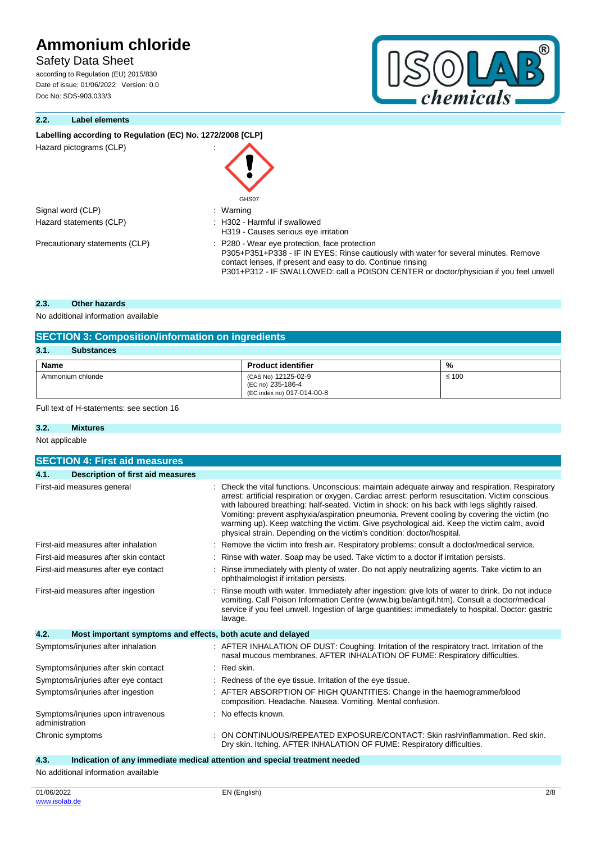# **Safety Data Sheet**

according to Regulation (EU) 2015/830 Date of issue: 01/06/2022 Version: 0.0 Doc No: SDS-903.033/3

# **2.2. Label elements**

## Labelling according to Regulation (EC) No. 1272/2008 [CLP]

| Hazard pictograms (CLP)        | GHS07                                                                                                                                                                                                                                                                                         |
|--------------------------------|-----------------------------------------------------------------------------------------------------------------------------------------------------------------------------------------------------------------------------------------------------------------------------------------------|
| Signal word (CLP)              | : Warning                                                                                                                                                                                                                                                                                     |
| Hazard statements (CLP)        | : H302 - Harmful if swallowed<br>H319 - Causes serious eye irritation                                                                                                                                                                                                                         |
| Precautionary statements (CLP) | : P280 - Wear eye protection, face protection<br>P305+P351+P338 - IF IN EYES: Rinse cautiously with water for several minutes. Remove<br>contact lenses, if present and easy to do. Continue rinsing<br>P301+P312 - IF SWALLOWED: call a POISON CENTER or doctor/physician if you feel unwell |

## **2.3. Other hazards**

No additional information available

| <b>SECTION 3: Composition/information on ingredients</b> |                                                                        |            |
|----------------------------------------------------------|------------------------------------------------------------------------|------------|
| 3.1.<br><b>Substances</b>                                |                                                                        |            |
| <b>Name</b>                                              | <b>Product identifier</b>                                              | %          |
| Ammonium chloride                                        | (CAS No) 12125-02-9<br>(EC no) 235-186-4<br>(EC index no) 017-014-00-8 | $\leq 100$ |

Full text of H-statements: see section 16

### **3.2. Mixtures**

Not applicable

| <b>SECTION 4: First aid measures</b>                 |  |                                                                                                                                                                                                                                                                                                                                                                                                                                                                                                                                                                              |
|------------------------------------------------------|--|------------------------------------------------------------------------------------------------------------------------------------------------------------------------------------------------------------------------------------------------------------------------------------------------------------------------------------------------------------------------------------------------------------------------------------------------------------------------------------------------------------------------------------------------------------------------------|
| 4.1.<br>Description of first aid measures            |  |                                                                                                                                                                                                                                                                                                                                                                                                                                                                                                                                                                              |
| First-aid measures general                           |  | : Check the vital functions. Unconscious: maintain adequate airway and respiration. Respiratory<br>arrest: artificial respiration or oxygen. Cardiac arrest: perform resuscitation. Victim conscious<br>with laboured breathing: half-seated. Victim in shock: on his back with legs slightly raised.<br>Vomiting: prevent asphyxia/aspiration pneumonia. Prevent cooling by covering the victim (no<br>warming up). Keep watching the victim. Give psychological aid. Keep the victim calm, avoid<br>physical strain. Depending on the victim's condition: doctor/hospital. |
| First-aid measures after inhalation                  |  | Remove the victim into fresh air. Respiratory problems: consult a doctor/medical service.                                                                                                                                                                                                                                                                                                                                                                                                                                                                                    |
| First-aid measures after skin contact                |  | Rinse with water. Soap may be used. Take victim to a doctor if irritation persists.                                                                                                                                                                                                                                                                                                                                                                                                                                                                                          |
| First-aid measures after eye contact                 |  | Rinse immediately with plenty of water. Do not apply neutralizing agents. Take victim to an<br>ophthalmologist if irritation persists.                                                                                                                                                                                                                                                                                                                                                                                                                                       |
| First-aid measures after ingestion                   |  | Rinse mouth with water. Immediately after ingestion: give lots of water to drink. Do not induce<br>vomiting. Call Poison Information Centre (www.big.be/antigif.htm). Consult a doctor/medical<br>service if you feel unwell. Ingestion of large quantities: immediately to hospital. Doctor: gastric<br>lavage.                                                                                                                                                                                                                                                             |
| 4.2.                                                 |  | Most important symptoms and effects, both acute and delayed                                                                                                                                                                                                                                                                                                                                                                                                                                                                                                                  |
| Symptoms/injuries after inhalation                   |  | : AFTER INHALATION OF DUST: Coughing. Irritation of the respiratory tract. Irritation of the<br>nasal mucous membranes. AFTER INHALATION OF FUME: Respiratory difficulties.                                                                                                                                                                                                                                                                                                                                                                                                  |
| Symptoms/injuries after skin contact                 |  | $:$ Red skin.                                                                                                                                                                                                                                                                                                                                                                                                                                                                                                                                                                |
| Symptoms/injuries after eye contact                  |  | Redness of the eye tissue. Irritation of the eye tissue.                                                                                                                                                                                                                                                                                                                                                                                                                                                                                                                     |
| Symptoms/injuries after ingestion                    |  | AFTER ABSORPTION OF HIGH QUANTITIES: Change in the haemogramme/blood<br>composition. Headache. Nausea. Vomiting. Mental confusion.                                                                                                                                                                                                                                                                                                                                                                                                                                           |
| Symptoms/injuries upon intravenous<br>administration |  | : No effects known.                                                                                                                                                                                                                                                                                                                                                                                                                                                                                                                                                          |
| Chronic symptoms                                     |  | ON CONTINUOUS/REPEATED EXPOSURE/CONTACT: Skin rash/inflammation. Red skin.<br>Dry skin. Itching. AFTER INHALATION OF FUME: Respiratory difficulties.                                                                                                                                                                                                                                                                                                                                                                                                                         |
| 4.3.                                                 |  | Indication of any immediate medical attention and special treatment needed                                                                                                                                                                                                                                                                                                                                                                                                                                                                                                   |

No additional information available

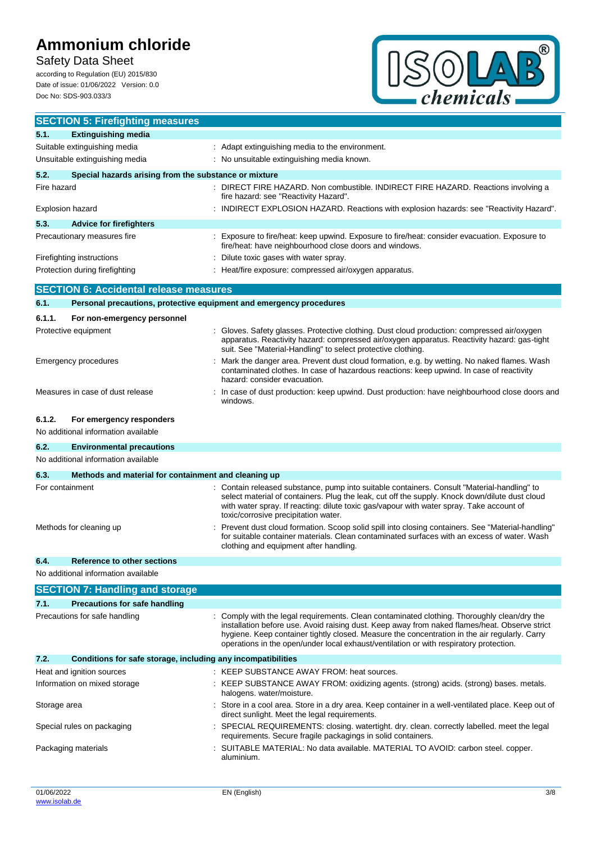# **Safety Data Sheet**

according to Regulation (EU) 2015/830 Date of issue: 01/06/2022 Version: 0.0 Doc No: SDS-903.033/3



| <b>SECTION 5: Firefighting measures</b>                                   |                                                                                                                                                                                                                                                                                                                                                                                       |  |
|---------------------------------------------------------------------------|---------------------------------------------------------------------------------------------------------------------------------------------------------------------------------------------------------------------------------------------------------------------------------------------------------------------------------------------------------------------------------------|--|
| 5.1.<br><b>Extinguishing media</b>                                        |                                                                                                                                                                                                                                                                                                                                                                                       |  |
| Suitable extinguishing media                                              | : Adapt extinguishing media to the environment.                                                                                                                                                                                                                                                                                                                                       |  |
| Unsuitable extinguishing media                                            | : No unsuitable extinguishing media known.                                                                                                                                                                                                                                                                                                                                            |  |
| 5.2.<br>Special hazards arising from the substance or mixture             |                                                                                                                                                                                                                                                                                                                                                                                       |  |
| Fire hazard                                                               | : DIRECT FIRE HAZARD. Non combustible. INDIRECT FIRE HAZARD. Reactions involving a<br>fire hazard: see "Reactivity Hazard".                                                                                                                                                                                                                                                           |  |
| <b>Explosion hazard</b>                                                   | : INDIRECT EXPLOSION HAZARD. Reactions with explosion hazards: see "Reactivity Hazard".                                                                                                                                                                                                                                                                                               |  |
| 5.3.<br><b>Advice for firefighters</b>                                    |                                                                                                                                                                                                                                                                                                                                                                                       |  |
| Precautionary measures fire                                               | : Exposure to fire/heat: keep upwind. Exposure to fire/heat: consider evacuation. Exposure to<br>fire/heat: have neighbourhood close doors and windows.                                                                                                                                                                                                                               |  |
| Firefighting instructions                                                 | Dilute toxic gases with water spray.                                                                                                                                                                                                                                                                                                                                                  |  |
| Protection during firefighting                                            | : Heat/fire exposure: compressed air/oxygen apparatus.                                                                                                                                                                                                                                                                                                                                |  |
| <b>SECTION 6: Accidental release measures</b>                             |                                                                                                                                                                                                                                                                                                                                                                                       |  |
| 6.1.                                                                      | Personal precautions, protective equipment and emergency procedures                                                                                                                                                                                                                                                                                                                   |  |
| 6.1.1.<br>For non-emergency personnel                                     |                                                                                                                                                                                                                                                                                                                                                                                       |  |
| Protective equipment                                                      | Gloves. Safety glasses. Protective clothing. Dust cloud production: compressed air/oxygen<br>apparatus. Reactivity hazard: compressed air/oxygen apparatus. Reactivity hazard: gas-tight<br>suit. See "Material-Handling" to select protective clothing.                                                                                                                              |  |
| Emergency procedures                                                      | Mark the danger area. Prevent dust cloud formation, e.g. by wetting. No naked flames. Wash<br>contaminated clothes. In case of hazardous reactions: keep upwind. In case of reactivity<br>hazard: consider evacuation.                                                                                                                                                                |  |
| Measures in case of dust release                                          | : In case of dust production: keep upwind. Dust production: have neighbourhood close doors and<br>windows.                                                                                                                                                                                                                                                                            |  |
| 6.1.2.<br>For emergency responders<br>No additional information available |                                                                                                                                                                                                                                                                                                                                                                                       |  |
| 6.2.<br><b>Environmental precautions</b>                                  |                                                                                                                                                                                                                                                                                                                                                                                       |  |
| No additional information available                                       |                                                                                                                                                                                                                                                                                                                                                                                       |  |
| 6.3.<br>Methods and material for containment and cleaning up              |                                                                                                                                                                                                                                                                                                                                                                                       |  |
| For containment                                                           | Contain released substance, pump into suitable containers. Consult "Material-handling" to<br>select material of containers. Plug the leak, cut off the supply. Knock down/dilute dust cloud<br>with water spray. If reacting: dilute toxic gas/vapour with water spray. Take account of<br>toxic/corrosive precipitation water.                                                       |  |
| Methods for cleaning up                                                   | Prevent dust cloud formation. Scoop solid spill into closing containers. See "Material-handling"<br>for suitable container materials. Clean contaminated surfaces with an excess of water. Wash<br>clothing and equipment after handling.                                                                                                                                             |  |
| 6.4.<br>Reference to other sections                                       |                                                                                                                                                                                                                                                                                                                                                                                       |  |
| No additional information available                                       |                                                                                                                                                                                                                                                                                                                                                                                       |  |
| <b>SECTION 7: Handling and storage</b>                                    |                                                                                                                                                                                                                                                                                                                                                                                       |  |
| 7.1.<br><b>Precautions for safe handling</b>                              |                                                                                                                                                                                                                                                                                                                                                                                       |  |
| Precautions for safe handling                                             | Comply with the legal requirements. Clean contaminated clothing. Thoroughly clean/dry the<br>installation before use. Avoid raising dust. Keep away from naked flames/heat. Observe strict<br>hygiene. Keep container tightly closed. Measure the concentration in the air regularly. Carry<br>operations in the open/under local exhaust/ventilation or with respiratory protection. |  |
| 7.2.<br>Conditions for safe storage, including any incompatibilities      |                                                                                                                                                                                                                                                                                                                                                                                       |  |
| Heat and ignition sources                                                 | : KEEP SUBSTANCE AWAY FROM: heat sources.                                                                                                                                                                                                                                                                                                                                             |  |
| Information on mixed storage                                              | : KEEP SUBSTANCE AWAY FROM: oxidizing agents. (strong) acids. (strong) bases. metals.<br>halogens. water/moisture.                                                                                                                                                                                                                                                                    |  |
| Storage area                                                              | : Store in a cool area. Store in a dry area. Keep container in a well-ventilated place. Keep out of<br>direct sunlight. Meet the legal requirements.                                                                                                                                                                                                                                  |  |
| Special rules on packaging                                                | SPECIAL REQUIREMENTS: closing. watertight. dry. clean. correctly labelled. meet the legal<br>requirements. Secure fragile packagings in solid containers.                                                                                                                                                                                                                             |  |
| Packaging materials                                                       | : SUITABLE MATERIAL: No data available. MATERIAL TO AVOID: carbon steel. copper.<br>aluminium.                                                                                                                                                                                                                                                                                        |  |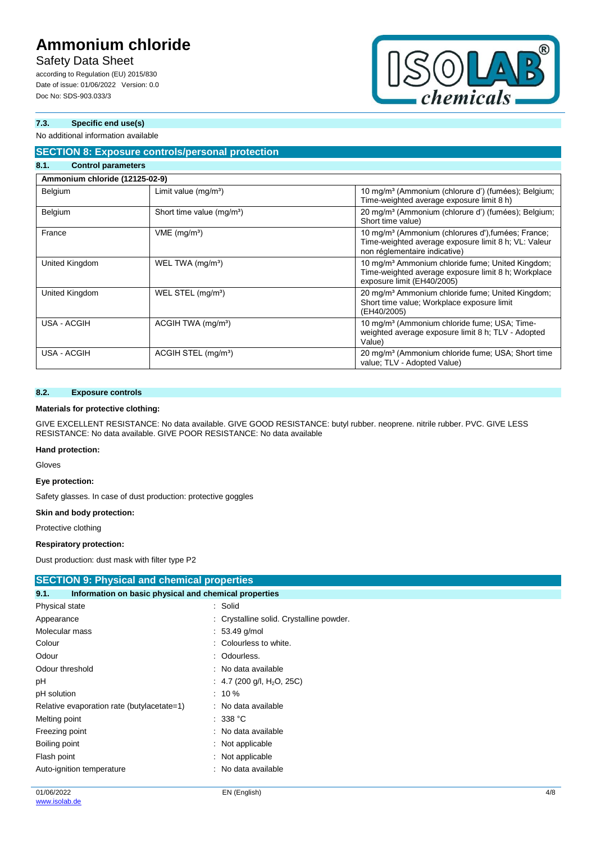# **Safety Data Sheet**

according to Regulation (EU) 2015/830 Date of issue: 01/06/2022 Version: 0.0 Doc No: SDS-903.033/3



# **7.3. Specific end use(s)**

# No additional information available

#### **SECTION 8: Exposure controls/personal protection 8.1. Control parameters**

| <u>v.</u><br><b>COTTLE OF DRIGHTIGLE IS</b> |                                       |                                                                                                                                                         |
|---------------------------------------------|---------------------------------------|---------------------------------------------------------------------------------------------------------------------------------------------------------|
| Ammonium chloride (12125-02-9)              |                                       |                                                                                                                                                         |
| Belgium                                     | Limit value $(mg/m3)$                 | 10 mg/m <sup>3</sup> (Ammonium (chlorure d') (fumées); Belgium;<br>Time-weighted average exposure limit 8 h)                                            |
| Belgium                                     | Short time value (mg/m <sup>3</sup> ) | 20 mg/m <sup>3</sup> (Ammonium (chlorure d') (fumées); Belgium;<br>Short time value)                                                                    |
| France                                      | $VME$ (mg/m <sup>3</sup> )            | 10 mg/m <sup>3</sup> (Ammonium (chlorures d'), fumées; France;<br>Time-weighted average exposure limit 8 h; VL: Valeur<br>non réglementaire indicative) |
| United Kingdom                              | WEL TWA (mg/m <sup>3</sup> )          | 10 mg/m <sup>3</sup> Ammonium chloride fume; United Kingdom;<br>Time-weighted average exposure limit 8 h; Workplace<br>exposure limit (EH40/2005)       |
| United Kingdom                              | WEL STEL (mg/m <sup>3</sup> )         | 20 mg/m <sup>3</sup> Ammonium chloride fume; United Kingdom;<br>Short time value; Workplace exposure limit<br>(EH40/2005)                               |
| USA - ACGIH                                 | ACGIH TWA (mg/m <sup>3</sup> )        | 10 mg/m <sup>3</sup> (Ammonium chloride fume; USA; Time-<br>weighted average exposure limit 8 h; TLV - Adopted<br>Value)                                |
| USA - ACGIH                                 | ACGIH STEL (mg/m <sup>3</sup> )       | 20 mg/m <sup>3</sup> (Ammonium chloride fume; USA; Short time<br>value; TLV - Adopted Value)                                                            |

# **8.2. Exposure controls**

### **Materials for protective clothing:**

GIVE EXCELLENT RESISTANCE: No data available. GIVE GOOD RESISTANCE: butyl rubber. neoprene. nitrile rubber. PVC. GIVE LESS RESISTANCE: No data available. GIVE POOR RESISTANCE: No data available

# **Hand protection:**

Gloves

### **Eye protection:**

Safety glasses. In case of dust production: protective goggles

#### **Skin and body protection:**

Protective clothing

#### **Respiratory protection:**

Dust production: dust mask with filter type P2

| <b>SECTION 9: Physical and chemical properties</b>            |                                          |  |
|---------------------------------------------------------------|------------------------------------------|--|
| Information on basic physical and chemical properties<br>9.1. |                                          |  |
| Physical state                                                | : Solid                                  |  |
| Appearance                                                    | : Crystalline solid. Crystalline powder. |  |
| Molecular mass                                                | $: 53.49$ g/mol                          |  |
| Colour                                                        | : Colourless to white.                   |  |
| Odour                                                         | : Odourless.                             |  |
| Odour threshold                                               | : No data available                      |  |
| рH                                                            | : 4.7 (200 g/l, H <sub>2</sub> O, 25C)   |  |
| pH solution                                                   | $: 10 \%$                                |  |
| Relative evaporation rate (butylacetate=1)                    | : No data available                      |  |
| Melting point                                                 | : 338 °C                                 |  |
| Freezing point                                                | : No data available                      |  |
| Boiling point                                                 | : Not applicable                         |  |
| Flash point                                                   | : Not applicable                         |  |
| Auto-ignition temperature                                     | : No data available                      |  |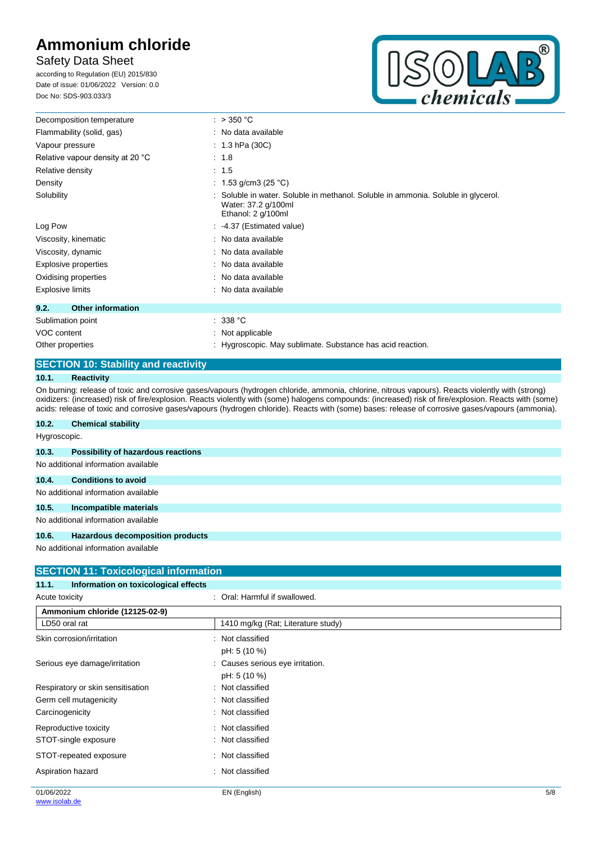# **Safety Data Sheet**

according to Regulation (EU) 2015/830 Date of issue: 01/06/2022 Version: 0.0 Doc No: SDS-903.033/3



| Decomposition temperature        | : $>350 °C$                                                                                                                    |
|----------------------------------|--------------------------------------------------------------------------------------------------------------------------------|
| Flammability (solid, gas)        | : No data available                                                                                                            |
| Vapour pressure                  | : $1.3$ hPa (30C)                                                                                                              |
| Relative vapour density at 20 °C | : 1.8                                                                                                                          |
| Relative density                 | : 1.5                                                                                                                          |
| Density                          | : 1.53 g/cm3 (25 °C)                                                                                                           |
| Solubility                       | : Soluble in water. Soluble in methanol. Soluble in ammonia. Soluble in glycerol.<br>Water: 37.2 g/100ml<br>Ethanol: 2 g/100ml |
| Log Pow                          | : 4.37 (Estimated value)                                                                                                       |
| Viscosity, kinematic             | : No data available                                                                                                            |
| Viscosity, dynamic               | : No data available                                                                                                            |
| Explosive properties             | : No data available                                                                                                            |
| Oxidising properties             | : No data available                                                                                                            |
| <b>Explosive limits</b>          | : No data available                                                                                                            |
| <b>Other information</b><br>9.2. |                                                                                                                                |
| Sublimation point                | : 338 °C                                                                                                                       |
| VOC content                      | $\therefore$ Not applicable                                                                                                    |
| Other properties                 | : Hygroscopic. May sublimate. Substance has acid reaction.                                                                     |

# **SECTION 10: Stability and reactivity**

# **10.1. Reactivity**

On burning: release of toxic and corrosive gases/vapours (hydrogen chloride, ammonia, chlorine, nitrous vapours). Reacts violently with (strong) oxidizers: (increased) risk of fire/explosion. Reacts violently with (some) halogens compounds: (increased) risk of fire/explosion. Reacts with (some) acids: release of toxic and corrosive gases/vapours (hydrogen chloride). Reacts with (some) bases: release of corrosive gases/vapours (ammonia).

| 10.2.        | <b>Chemical stability</b>                 |
|--------------|-------------------------------------------|
| Hygroscopic. |                                           |
| 10.3.        | <b>Possibility of hazardous reactions</b> |
|              | No additional information available       |
| 10.4.        | <b>Conditions to avoid</b>                |
|              | No additional information available       |
| 10.5.        | Incompatible materials                    |
|              | No additional information available       |
| 10.6.        | Hazardous decomposition products          |
|              | No additional information available       |

| <b>SECTION 11: Toxicological information</b>  |                                    |  |
|-----------------------------------------------|------------------------------------|--|
| Information on toxicological effects<br>11.1. |                                    |  |
| Acute toxicity                                | : Oral: Harmful if swallowed.      |  |
| Ammonium chloride (12125-02-9)                |                                    |  |
| LD50 oral rat                                 | 1410 mg/kg (Rat; Literature study) |  |
| Skin corrosion/irritation                     | : Not classified                   |  |
|                                               | pH: 5 (10 %)                       |  |
| Serious eye damage/irritation                 | Causes serious eye irritation.     |  |
|                                               | pH: 5 (10 %)                       |  |
| Respiratory or skin sensitisation             | Not classified                     |  |
| Germ cell mutagenicity                        | : Not classified                   |  |
| Carcinogenicity                               | : Not classified                   |  |
| Reproductive toxicity                         | Not classified<br>$\sim$           |  |
| STOT-single exposure                          | Not classified                     |  |
| STOT-repeated exposure                        | : Not classified                   |  |
| Aspiration hazard                             | Not classified<br>٠                |  |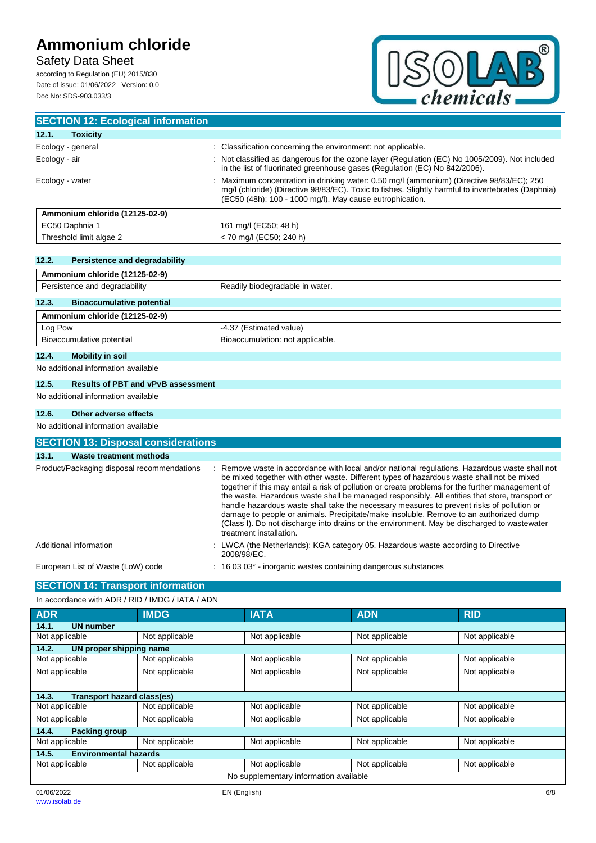# **Safety Data Sheet**

according to Regulation (EU) 2015/830 Date of issue: 01/06/2022 Version: 0.0 Doc No: SDS-903.033/3



| <b>SECTION 12: Ecological information</b> |                                                                                                                                                                                                                                                           |
|-------------------------------------------|-----------------------------------------------------------------------------------------------------------------------------------------------------------------------------------------------------------------------------------------------------------|
| 12.1.<br>Toxicity                         |                                                                                                                                                                                                                                                           |
| Ecology - general                         | Classification concerning the environment: not applicable.                                                                                                                                                                                                |
| Ecology - air                             | : Not classified as dangerous for the ozone layer (Regulation (EC) No 1005/2009). Not included<br>in the list of fluorinated greenhouse gases (Regulation (EC) No 842/2006).                                                                              |
| Ecology - water                           | Maximum concentration in drinking water: 0.50 mg/l (ammonium) (Directive 98/83/EC); 250<br>mq/l (chloride) (Directive 98/83/EC). Toxic to fishes. Slightly harmful to invertebrates (Daphnia)<br>(EC50 (48h): 100 - 1000 mg/l). May cause eutrophication. |
| Ammonium chloride (12125-02-9)            |                                                                                                                                                                                                                                                           |
|                                           |                                                                                                                                                                                                                                                           |

| Ammonium chloride (12125-02-9) |                         |
|--------------------------------|-------------------------|
| EC50 Daphnia                   | 161 mg/l (EC50; 48 h)   |
| Threshold limit algae 2        | : 70 mg/l (EC50; 240 h) |
|                                |                         |

# **12.2. Persistence and degradability**

| Ammonium chloride (12125-02-9)            |                                  |
|-------------------------------------------|----------------------------------|
| Persistence and degradability             | Readily biodegradable in water.  |
| 12.3.<br><b>Bioaccumulative potential</b> |                                  |
| Ammonium chloride (12125-02-9)            |                                  |
| Log Pow                                   | -4.37 (Estimated value)          |
| Bioaccumulative potential                 | Bioaccumulation: not applicable. |
|                                           |                                  |

# **12.4. Mobility in soil**

No additional information available

# **12.5. Results of PBT and vPvB assessment**

No additional information available

# **12.6. Other adverse effects**

No additional information available

| <b>SECTION 13: Disposal considerations</b> |                                                                                                                                                                                                                                                                                                                                                                                                                                                                                                                                                                                                                                                                                                                   |  |
|--------------------------------------------|-------------------------------------------------------------------------------------------------------------------------------------------------------------------------------------------------------------------------------------------------------------------------------------------------------------------------------------------------------------------------------------------------------------------------------------------------------------------------------------------------------------------------------------------------------------------------------------------------------------------------------------------------------------------------------------------------------------------|--|
| 13.1.<br>Waste treatment methods           |                                                                                                                                                                                                                                                                                                                                                                                                                                                                                                                                                                                                                                                                                                                   |  |
| Product/Packaging disposal recommendations | : Remove waste in accordance with local and/or national regulations. Hazardous waste shall not<br>be mixed together with other waste. Different types of hazardous waste shall not be mixed<br>together if this may entail a risk of pollution or create problems for the further management of<br>the waste. Hazardous waste shall be managed responsibly. All entities that store, transport or<br>handle hazardous waste shall take the necessary measures to prevent risks of pollution or<br>damage to people or animals. Precipitate/make insoluble. Remove to an authorized dump<br>(Class I). Do not discharge into drains or the environment. May be discharged to wastewater<br>treatment installation. |  |
| Additional information                     | : LWCA (the Netherlands): KGA category 05. Hazardous waste according to Directive<br>2008/98/EC.                                                                                                                                                                                                                                                                                                                                                                                                                                                                                                                                                                                                                  |  |
| European List of Waste (LoW) code          | $: 160303*$ inorganic wastes containing dangerous substances                                                                                                                                                                                                                                                                                                                                                                                                                                                                                                                                                                                                                                                      |  |

# **SECTION 14: Transport information**

# In accordance with ADR / RID / IMDG / IATA / ADN

| <b>ADR</b>                             | <b>IMDG</b>    | <b>IATA</b>    | <b>ADN</b>     | <b>RID</b>     |
|----------------------------------------|----------------|----------------|----------------|----------------|
| 14.1.<br><b>UN number</b>              |                |                |                |                |
| Not applicable                         | Not applicable | Not applicable | Not applicable | Not applicable |
| 14.2.<br>UN proper shipping name       |                |                |                |                |
| Not applicable                         | Not applicable | Not applicable | Not applicable | Not applicable |
| Not applicable                         | Not applicable | Not applicable | Not applicable | Not applicable |
|                                        |                |                |                |                |
| 14.3.<br>Transport hazard class(es)    |                |                |                |                |
| Not applicable                         | Not applicable | Not applicable | Not applicable | Not applicable |
| Not applicable                         | Not applicable | Not applicable | Not applicable | Not applicable |
| 14.4.<br><b>Packing group</b>          |                |                |                |                |
| Not applicable                         | Not applicable | Not applicable | Not applicable | Not applicable |
| <b>Environmental hazards</b><br>14.5.  |                |                |                |                |
| Not applicable                         | Not applicable | Not applicable | Not applicable | Not applicable |
| No supplementary information available |                |                |                |                |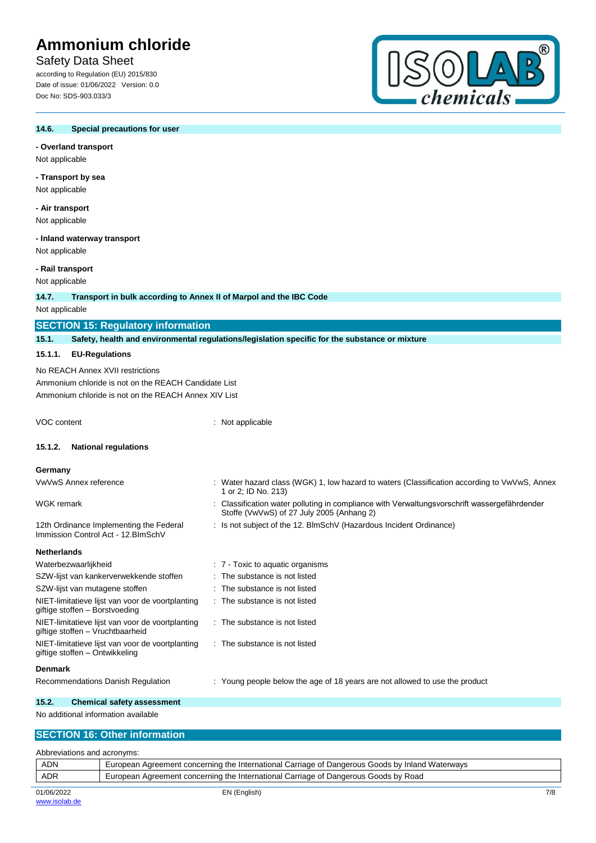# **Safety Data Sheet**

according to Regulation (EU) 2015/830 Date of issue: 01/06/2022 Version: 0.0 Doc No: SDS-903.033/3



#### **14.6. Special precautions for user**

## **- Overland transport**

Not applicable

# **- Transport by sea**

Not applicable

**- Air transport** Not applicable

## **- Inland waterway transport**

Not applicable

#### **- Rail transport**

Not applicable

#### **14.7. Transport in bulk according to Annex II of Marpol and the IBC Code**

Not applicable

# **SECTION 15: Regulatory information**

**15.1. Safety, health and environmental regulations/legislation specific for the substance or mixture**

## **15.1.1. EU-Regulations**

No REACH Annex XVII restrictions Ammonium chloride is not on the REACH Candidate List Ammonium chloride is not on the REACH Annex XIV List

VOC content : Not applicable

## **15.1.2. National regulations**

#### **Germany**

| VwVwS Annex reference                                                          | : Water hazard class (WGK) 1, low hazard to waters (Classification according to VwVwS, Annex<br>1 or 2; ID No. 213)                       |
|--------------------------------------------------------------------------------|-------------------------------------------------------------------------------------------------------------------------------------------|
| WGK remark                                                                     | : Classification water polluting in compliance with Verwaltungsvorschrift wassergefährdender<br>Stoffe (VwVwS) of 27 July 2005 (Anhang 2) |
| 12th Ordinance Implementing the Federal<br>Immission Control Act - 12. BlmSchV | : Is not subject of the 12. BlmSchV (Hazardous Incident Ordinance)                                                                        |
| Netherlands                                                                    |                                                                                                                                           |
| Waterbezwaarlijkheid                                                           | . 7 Toxic to aquatic organisms                                                                                                            |
| SZW-lijst van kankerverwekkende stoffen                                        | : The substance is not listed                                                                                                             |
|                                                                                |                                                                                                                                           |

- SZW-lijst van mutagene stoffen : The substance is not listed NIET-limitatieve lijst van voor de voortplanting giftige stoffen – Borstvoeding : The substance is not listed
- NIET-limitatieve lijst van voor de voortplanting : The substance is not listed
	- : The substance is not listed

#### **Denmark**

NIET-limitatieve lijst van voor de voortplanting

Recommendations Danish Regulation : Young people below the age of 18 years are not allowed to use the product

## **15.2. Chemical safety assessment** No additional information available

giftige stoffen – Vruchtbaarheid

giftige stoffen – Ontwikkeling

## **SECTION 16: Other information**

| Abbreviations and acronyms: |                                                                                                 |     |
|-----------------------------|-------------------------------------------------------------------------------------------------|-----|
| <b>ADN</b>                  | European Agreement concerning the International Carriage of Dangerous Goods by Inland Waterways |     |
| <b>ADR</b>                  | European Agreement concerning the International Carriage of Dangerous Goods by Road             |     |
| 01/06/2022                  | EN (English)                                                                                    | 7/8 |